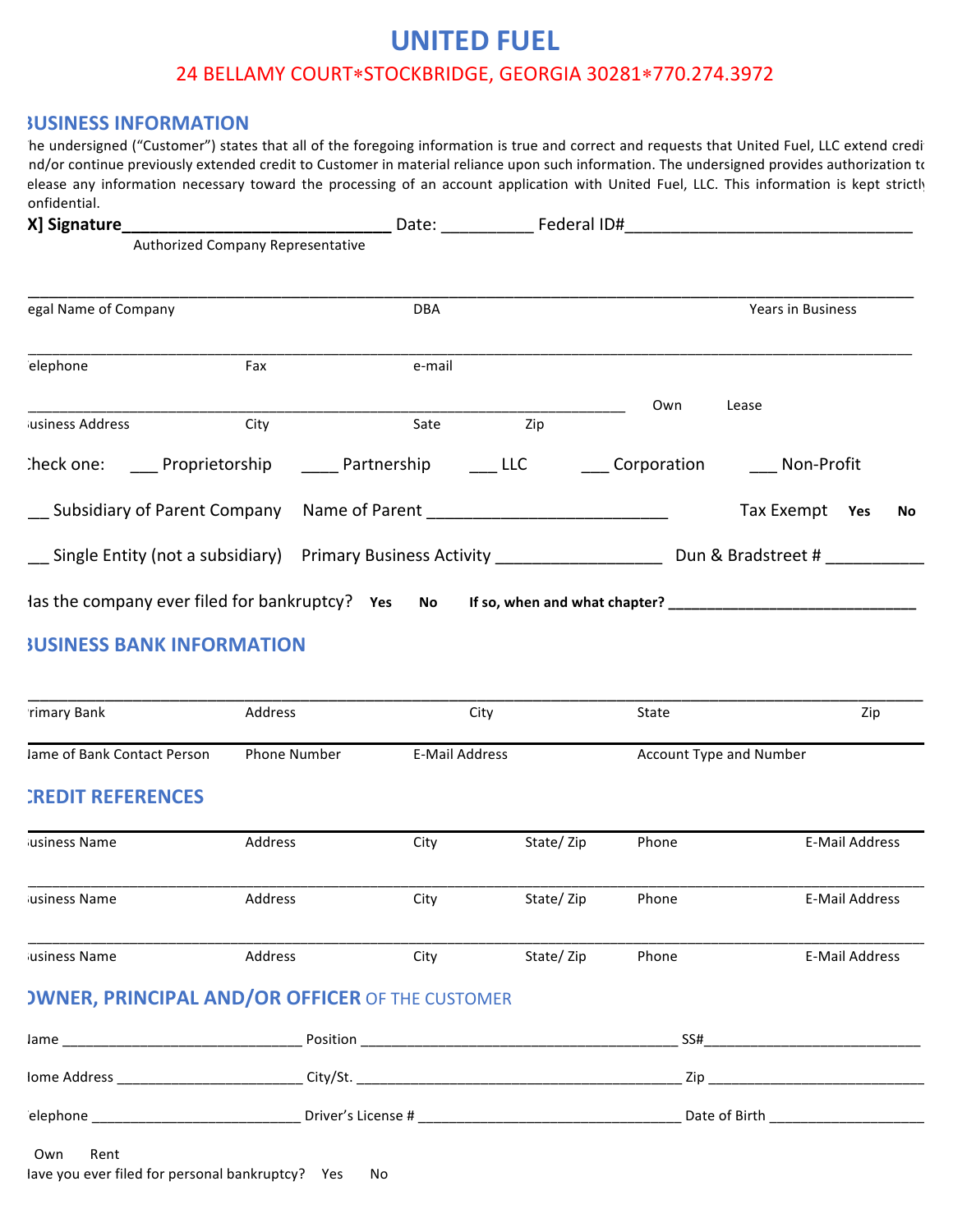## **UNITED FUEL** 24 BELLAMY COURT\*STOCKBRIDGE, GEORGIA 30281\*770.274.3972

## **BUSINESS INFORMATION**

he undersigned ("Customer") states that all of the foregoing information is true and correct and requests that United Fuel, LLC extend credi nd/or continue previously extended credit to Customer in material reliance upon such information. The undersigned provides authorization to elease any information necessary toward the processing of an account application with United Fuel, LLC. This information is kept strictly confidential. 

|                         |                                   | Date: Federal ID#                                                                |     |     |                              |    |
|-------------------------|-----------------------------------|----------------------------------------------------------------------------------|-----|-----|------------------------------|----|
|                         | Authorized Company Representative |                                                                                  |     |     |                              |    |
| egal Name of Company    |                                   | <b>DBA</b>                                                                       |     |     | Years in Business            |    |
| elephone                | Fax                               | e-mail                                                                           |     |     |                              |    |
|                         |                                   |                                                                                  |     | Own | Lease                        |    |
| <b>Iusiness Address</b> | City                              | Sate                                                                             | Zip |     |                              |    |
|                         |                                   | Check one: Proprietorship Partnership LLC                                        |     |     | Corporation _____ Non-Profit |    |
|                         |                                   |                                                                                  |     |     | Tax Exempt<br>Yes            | No |
|                         |                                   | Single Entity (not a subsidiary) Primary Business Activity _____________________ |     |     | Dun & Bradstreet #           |    |
|                         |                                   | las the company ever filed for bankruptcy? Yes No If so, when and what chapter?  |     |     |                              |    |

## **BUSINESS BANK INFORMATION**

| rimary Bank                                            | <b>Address</b>                |                       | City      | State                   | Zip                                                                                                            |
|--------------------------------------------------------|-------------------------------|-----------------------|-----------|-------------------------|----------------------------------------------------------------------------------------------------------------|
| Jame of Bank Contact Person                            | <b>Phone Number</b>           | <b>E-Mail Address</b> |           | Account Type and Number |                                                                                                                |
| <b>CREDIT REFERENCES</b>                               |                               |                       |           |                         |                                                                                                                |
| Jusiness Name                                          | Address                       | City                  | State/Zip | Phone                   | <b>E-Mail Address</b>                                                                                          |
| Jusiness Name                                          | <b>Address</b>                | City                  | State/Zip | Phone                   | <b>E-Mail Address</b>                                                                                          |
| <b>usiness Name</b>                                    | Address                       | City                  | State/Zip | Phone                   | <b>E-Mail Address</b>                                                                                          |
| <b>JWNER, PRINCIPAL AND/OR OFFICER OF THE CUSTOMER</b> |                               |                       |           |                         |                                                                                                                |
|                                                        |                               |                       |           | SS#                     |                                                                                                                |
|                                                        | lome Address and the City/St. |                       |           |                         | Zip and the state of the state of the state of the state of the state of the state of the state of the state o |
|                                                        |                               |                       |           | Date of Birth           |                                                                                                                |

## Own Rent

lave you ever filed for personal bankruptcy? Yes No